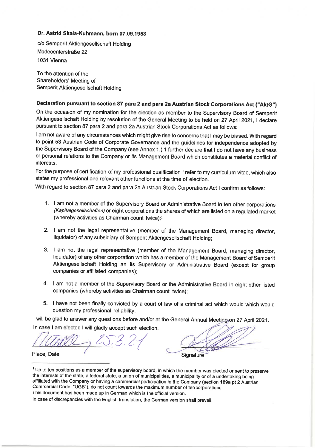## Dr. Astrid Skala-Kuhmann, born 07.09.1953

c/o Semperit Aktiengesellschaft Holding Modecenterstraße 22 1031 Vienna

To the attention of the Shareholders' Meeting of Semperit Aktiengesellschaft Holding

# Declaration pursuant to section 87 para 2 and para 2a Austrian Stock Corporations Act ("AktG")

On the occasion of my nomination for the election as member to the Supervisory Board of Semperit Aktiengesellschaft Holding by resolution of the General Meeting to be held on 27 April 2021, I declare pursuant to section 87 para 2 and para 2a Austrian Stock Corporations Act as follows:

I am not aware of any circumstances which might give rise to concerns that I may be biased. With regard to point 53 Austrian Code of Corporate Governance and the guidelines for independence adopted by the Supervisory Board of the Company (see Annex 1.) 1 further declare that I do not have any business or personal relations to the Company or its Management Board which constitutes a material conflict of interests.

For the purpose of certification of my professional qualification I refer to my curriculum vitae, which also states my professional and relevant other functions at the time of election.

With regard to section 87 para 2 and para 2a Austrian Stock Corporations Act I confirm as follows:

- 1. I am not a member of the Supervisory Board or Administrative Board in ten other corporations (Kapitalgesellschaften) or eight corporations the shares of which are listed on a regulated market (whereby activities as Chairman count twice):1
- 2. I am not the legal representative (member of the Management Board, managing director, liquidator) of any subsidiary of Semperit Aktiengesellschaft Holding:
- 3. I am not the legal representative (member of the Management Board, managing director, liquidator) of any other corporation which has a member of the Management Board of Semperit Aktiengesellschaft Holding an its Supervisory or Administrative Board (except for group companies or affiliated companies);
- 4. I am not a member of the Supervisory Board or the Administrative Board in eight other listed companies (whereby activities as Chairman count twice):
- 5. I have not been finally convicted by a court of law of a criminal act which would which would question my professional reliability.

I will be glad to answer any questions before and/or at the General Annual Meeting on 27 April 2021. In case I am elected I will gladly accept such election.

Place, Date

Signature

<sup>&</sup>lt;sup>1</sup> Up to ten positions as a member of the supervisory board, in which the member was elected or sent to preserve the interests of the state, a federal state, a union of municipalities, a municipality or of a undertaking being affiliated with the Company or having a commercial participation in the Company (section 189a pt 2 Austrian Commercial Code, "UGB"), do not count towards the maximum number of ten corporations.

This document has been made up in German which is the official version.

In case of discrepancies with the English translation, the German version shall prevail.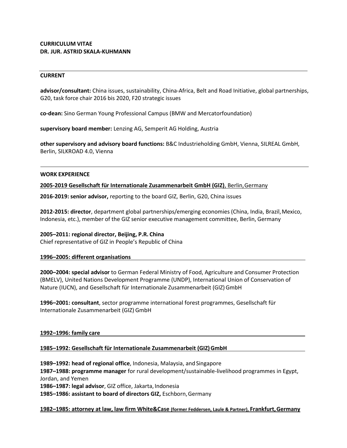## **CURRICULUM VITAE DR. JUR. ASTRID SKALA-KUHMANN**

#### **CURRENT**

**advisor/consultant:** China issues, sustainability, China-Africa, Belt and Road Initiative, global partnerships, G20, task force chair 2016 bis 2020, F20 strategic issues

**co-dean:** Sino German Young Professional Campus (BMW and Mercatorfoundation)

**supervisory board member:** Lenzing AG, Semperit AG Holding, Austria

**other supervisory and advisory board functions:** B&C Industrieholding GmbH, Vienna, SILREAL GmbH, Berlin, SILKROAD 4.0, Vienna

#### **WORK EXPERIENCE**

**2005-2019 Gesellschaft für Internationale Zusammenarbeit GmbH (GIZ)**, Berlin,Germany

**2016-2019: senior advisor,** reporting to the board GIZ, Berlin, G20, China issues

**2012-2015: director**, department global partnerships/emerging economies (China, India, Brazil,Mexico, Indonesia, etc.), member of the GIZ senior executive management committee, Berlin, Germany

**2005–2011: regional director, Beijing, P.R. China**

Chief representative of GIZ in People's Republic of China

#### **1996–2005: different organisations**

**2000–2004: special advisor** to German Federal Ministry of Food, Agriculture and Consumer Protection (BMELV), United Nations Development Programme (UNDP), International Union of Conservation of Nature (IUCN), and Gesellschaft für Internationale Zusammenarbeit (GIZ)GmbH

**1996–2001: consultant**, sector programme international forest programmes, Gesellschaft für Internationale Zusammenarbeit (GIZ) GmbH

#### **1992–1996: family care**

**1985–1992: Gesellschaft für Internationale Zusammenarbeit (GIZ)GmbH**

1989-1992: head of regional office, Indonesia, Malaysia, and Singapore **1987–1988: programme manager** for rural development/sustainable-livelihood programmes in Egypt, Jordan, and Yemen **1986–1987: legal advisor**, GIZ office, Jakarta, Indonesia

**1985–1986: assistant to board of directors GIZ,** Eschborn,Germany

#### **1982–1985: attorney at law, law firm White&Case (former Feddersen, Laule & Partner), Frankfurt,Germany**